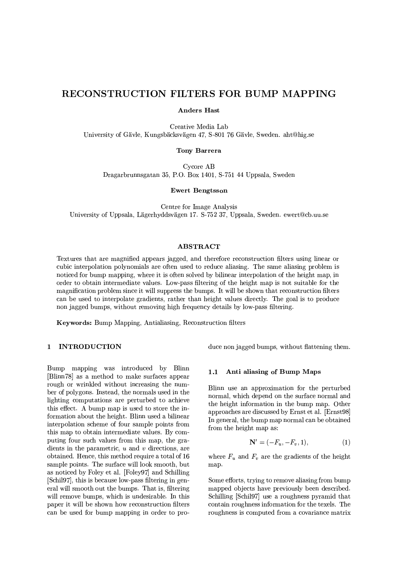# **RECONSTRUCTION FILTERS FOR BUMP MAPPING**

**Anders Hast** 

Creative Media Lab University of Gävle, Kungsbäcksvägen 47, S-801 76 Gävle, Sweden. aht@hig.se

**Tony Barrera** 

Cycore AB Dragarbrunnsgatan 35, P.O. Box 1401, S-751 44 Uppsala, Sweden

**Ewert Bengtsson** 

Centre for Image Analysis University of Uppsala, Lägerhyddsvägen 17. S-752 37, Uppsala, Sweden. ewert@cb.uu.se

## **ABSTRACT**

Textures that are magnified appears jagged, and therefore reconstruction filters using linear or cubic interpolation polynomials are often used to reduce aliasing. The same aliasing problem is noticed for bump mapping, where it is often solved by bilinear interpolation of the height map, in order to obtain intermediate values. Low-pass filtering of the height map is not suitable for the magnification problem since it will suppress the bumps. It will be shown that reconstruction filters can be used to interpolate gradients, rather than height values directly. The goal is to produce non jagged bumps, without removing high frequency details by low-pass filtering.

Keywords: Bump Mapping, Antialiasing, Reconstruction filters

### 1 INTRODUCTION

Bump mapping was introduced by Blinn [Blinn78] as a method to make surfaces appear rough or wrinkled without increasing the number of polygons. Instead, the normals used in the lighting computations are perturbed to achieve this effect. A bump map is used to store the information about the height. Blinn used a bilinear interpolation scheme of four sample points from this map to obtain intermediate values. By computing four such values from this map, the gradients in the parametric,  $u$  and  $v$  directions, are obtained. Hence, this method require a total of 16 sample points. The surface will look smooth, but as noticed by Foley et al. [Foley97] and Schilling [Schil97], this is because low-pass filtering in general will smooth out the bumps. That is, filtering will remove bumps, which is undesirable. In this paper it will be shown how reconstruction filters can be used for bump mapping in order to produce non jagged bumps, without flattening them.

#### $1.1$ Anti aliasing of Bump Maps

Blinn use an approximation for the perturbed normal, which depend on the surface normal and the height information in the bump map. Other approaches are discussed by Ernst et al. [Ernst98] In general, the bump map normal can be obtained from the height map as:

$$
\mathbf{N}' = (-F_u, -F_v, 1),\tag{1}
$$

where  $F_u$  and  $F_v$  are the gradients of the height map.

Some efforts, trying to remove aliasing from bump mapped objects have previously been described. Schilling [Schil97] use a roughness pyramid that contain roughness information for the texels. The roughness is computed from a covariance matrix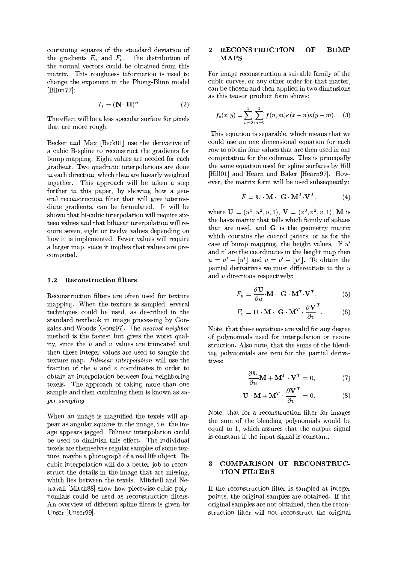containing squares of the standard deviation of the gradients  $F_u$  and  $F_v$ . The distribution of the normal vectors could be obtained from this matrix. This roughness information is used to change the exponent in the Phong-Blinn model  $[Blinn77]$ :

$$
I_s = (\mathbf{N} \cdot \mathbf{H})^n \tag{2}
$$

The effect will be a less specular surface for pixels that are more rough.

Becker and Max [Beck01] use the derivative of a cubic B-spline to reconstruct the gradients for bump mapping. Eight values are needed for each gradient. Two quadratic interpolations are done in each direction, which then are linearly weighted together. This approach will be taken a step further in this paper, by showing how a general reconstruction filter that will give intermediate gradients, can be formulated. It will be shown that bi-cubic interpolation will require sixteen values and that bilinear interpolation will require seven, eight or twelve values depending on how it is implemented. Fewer values will require a larger map, since it implies that values are precomputed.

#### $1.2$ **Reconstruction filters**

Reconstruction filters are often used for texture mapping. When the texture is sampled, several techniques could be used, as described in the standard textbook in image processing by Gonzales and Woods [Gonz97]. The nearest neighbor method is the fastest but gives the worst quality, since the  $u$  and  $v$  values are truncated and then these integer values are used to sample the texture map. Bilinear interpolation will use the fraction of the  $u$  and  $v$  coordinates in order to obtain an interpolation between four neighboring texels. The approach of taking more than one sample and then combining them is known as  $su$ per sampling.

When an image is magnified the texels will appear as angular squares in the image, i.e. the image appears jagged. Bilinear interpolation could be used to diminish this effect. The individual texels are themselves regular samples of some texture, maybe a photograph of a real life object. Bicubic interpolation will do a better job to reconstruct the details in the image that are missing, which lies between the texels. Mitchell and Netravali [Mitch88] show how piecewise cubic polynomials could be used as reconstruction filters. An overview of different spline filters is given by Unser [Unser99].

### 2 RECONSTRUCTION OF **BUMP MAPS**

For image reconstruction a suitable family of the cubic curves, or any other order for that matter, can be chosen and then applied in two dimensions as this tensor product form shows:

$$
f_c(x,y) = \sum_{n=0}^{3} \sum_{m=0}^{3} f(n,m)\kappa(x-n)\kappa(y-m). \quad (3)
$$

This equation is separable, which means that we could use an one dimensional equation for each row to obtain four values that are then used in one computation for the columns. This is principally the same equation used for spline surfaces by Hill [Hill01] and Hearn and Baker [Hearn97]. However, the matrix form will be used subsequently:

$$
F = \mathbf{U} \cdot \mathbf{M} \cdot \mathbf{G} \cdot \mathbf{M}^T \cdot \mathbf{V}^T, \tag{4}
$$

where  $\mathbf{U} = (u^3, u^2, u, 1), \mathbf{V} = (v^3, v^2, v, 1), \mathbf{M}$  is the basis matrix that tells which family of splines that are used, and G is the geometry matrix which contains the control points, or as for the case of bump mapping, the height values. If  $u'$ and  $v'$  are the coordinates in the height map then  $u = u' - |u'|$  and  $v = v' - |v'|$ . To obtain the partial derivatives we must differentiate in the  $u$ and  $v$  directions respectively:

$$
F_u = \frac{\partial \mathbf{U}}{\partial u} \cdot \mathbf{M} \cdot \mathbf{G} \cdot \mathbf{M}^T \cdot \mathbf{V}^T, \tag{5}
$$

$$
F_v = \mathbf{U} \cdot \mathbf{M} \cdot \mathbf{G} \cdot \mathbf{M}^T \cdot \frac{\partial \mathbf{V}^T}{\partial v}.
$$
 (6)

Note, that these equations are valid for any degree of polynomials used for interpolation or reconstruction. Also note, that the sums of the blending polynomials are zero for the partial derivatives:

$$
\frac{\partial \mathbf{U}}{\partial u} \mathbf{M} + \mathbf{M}^T \cdot \mathbf{V}^T = 0, \tag{7}
$$

$$
\mathbf{U} \cdot \mathbf{M} + \mathbf{M}^T \cdot \frac{\partial \mathbf{V}}{\partial v}^T = 0.
$$
 (8)

Note, that for a reconstruction filter for images the sum of the blending polynomials would be equal to 1, which assures that the output signal is constant if the input signal is constant.

### $\mathbf{R}$ COMPARISON OF RECONSTRUC-**TION FILTERS**

If the reconstruction filter is sampled at integer points, the original samples are obtained. If the original samples are not obtained, then the reconstruction filter will not reconstruct the original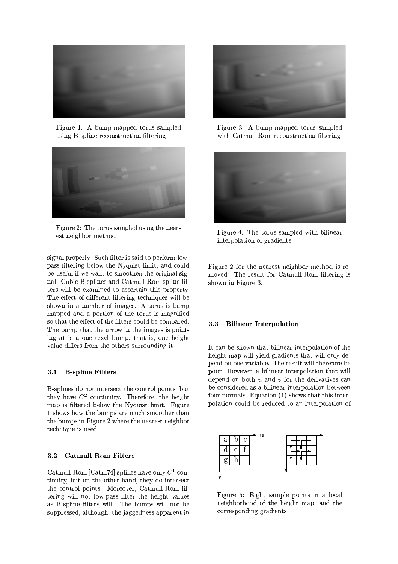

Figure 1: A bump-mapped torus sampled using B-spline reconstruction filtering



Figure 2: The torus sampled using the nearest neighbor method

signal properly. Such filter is said to perform lowpass filtering below the Nyquist limit, and could be useful if we want to smoothen the original signal. Cubic B-splines and Catmull-Rom spline filters will be examined to ascertain this property. The effect of different filtering techniques will be shown in a number of images. A torus is bump mapped and a portion of the torus is magnified so that the effect of the filters could be compared. The bump that the arrow in the images is pointing at is a one texel bump, that is, one height value differs from the others surrounding it.

### 3.1 B-spline Filters

B-splines do not intersect the control points, but they have  $C^2$  continuity. Therefore, the height map is filtered below the Nyquist limit. Figure 1 shows how the bumps are much smoother than the bumps in Figure 2 where the nearest neighbor technique is used.

#### $3.2$ **Catmull-Rom Filters**

Catmull-Rom [Catm74] splines have only  $C^1$  continuity, but on the other hand, they do intersect the control points. Moreover, Catmull-Rom filtering will not low-pass filter the height values as B-spline filters will. The bumps will not be suppressed, although, the jaggedness apparent in



Figure 3: A bump-mapped torus sampled with Catmull-Rom reconstruction filtering



Figure 4: The torus sampled with bilinear interpolation of gradients

Figure 2 for the nearest neighbor method is removed. The result for Catmull-Rom filtering is shown in Figure 3.

#### **Bilinear Interpolation**  $3.3$

It can be shown that bilinear interpolation of the height map will yield gradients that will only depend on one variable. The result will therefore be poor. However, a bilinear interpolation that will depend on both  $u$  and  $v$  for the derivatives can be considered as a bilinear interpolation between four normals. Equation (1) shows that this interpolation could be reduced to an interpolation of



Figure 5: Eight sample points in a local neighborhood of the height map, and the corresponding gradients